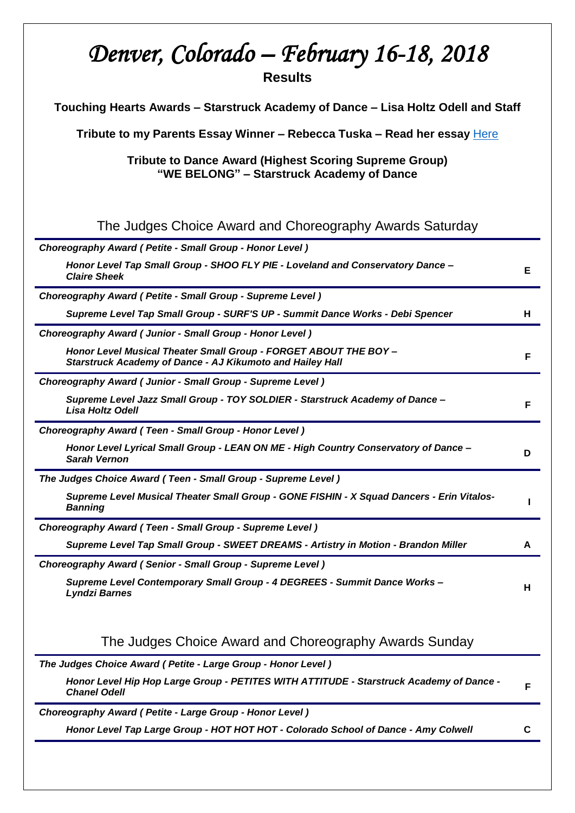# *Denver, Colorado – February 16-18, 2018*  **Results**

**Touching Hearts Awards – Starstruck Academy of Dance – Lisa Holtz Odell and Staff**

**Tribute to my Parents Essay Winner – Rebecca Tuska – Read her essay** [Here](http://tributetodance.com/wp-content/uploads/2018/02/denveressay18.pdf)

**Tribute to Dance Award (Highest Scoring Supreme Group) "WE BELONG" – Starstruck Academy of Dance**

# The Judges Choice Award and Choreography Awards Saturday

| Choreography Award (Petite - Small Group - Honor Level)                                                                       |    |
|-------------------------------------------------------------------------------------------------------------------------------|----|
| Honor Level Tap Small Group - SHOO FLY PIE - Loveland and Conservatory Dance -<br><b>Claire Sheek</b>                         | Е  |
| Choreography Award ( Petite - Small Group - Supreme Level )                                                                   |    |
| Supreme Level Tap Small Group - SURF'S UP - Summit Dance Works - Debi Spencer                                                 | н  |
| Choreography Award (Junior - Small Group - Honor Level)                                                                       |    |
| Honor Level Musical Theater Small Group - FORGET ABOUT THE BOY -<br>Starstruck Academy of Dance - AJ Kikumoto and Hailey Hall | F  |
| Choreography Award (Junior - Small Group - Supreme Level)                                                                     |    |
| Supreme Level Jazz Small Group - TOY SOLDIER - Starstruck Academy of Dance -<br><b>Lisa Holtz Odell</b>                       | F  |
| Choreography Award (Teen - Small Group - Honor Level)                                                                         |    |
| Honor Level Lyrical Small Group - LEAN ON ME - High Country Conservatory of Dance -<br><b>Sarah Vernon</b>                    | D  |
| The Judges Choice Award (Teen - Small Group - Supreme Level)                                                                  |    |
| Supreme Level Musical Theater Small Group - GONE FISHIN - X Squad Dancers - Erin Vitalos-<br><b>Banning</b>                   |    |
| Choreography Award (Teen - Small Group - Supreme Level)                                                                       |    |
| Supreme Level Tap Small Group - SWEET DREAMS - Artistry in Motion - Brandon Miller                                            | A  |
| Choreography Award (Senior - Small Group - Supreme Level)                                                                     |    |
| Supreme Level Contemporary Small Group - 4 DEGREES - Summit Dance Works -<br><b>Lyndzi Barnes</b>                             | H. |
| The Judges Choice Award and Choreography Awards Sunday                                                                        |    |

*The Judges Choice Award ( Petite - Large Group - Honor Level )*

*Honor Level Hip Hop Large Group - PETITES WITH ATTITUDE - Starstruck Academy of Dance - Chanel Odell* **<sup>F</sup>**

*Choreography Award ( Petite - Large Group - Honor Level )*

*Honor Level Tap Large Group - HOT HOT HOT - Colorado School of Dance - Amy Colwell* **C**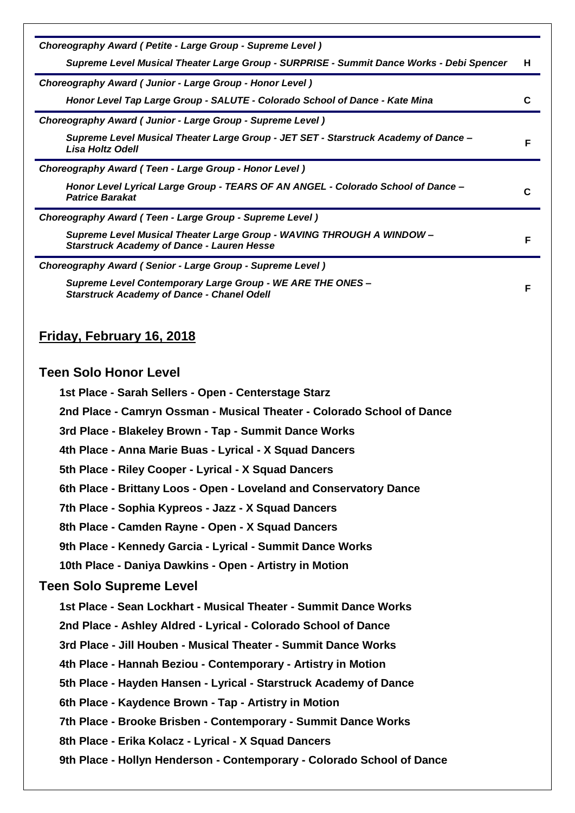| Choreography Award (Petite - Large Group - Supreme Level)                                                                  |    |
|----------------------------------------------------------------------------------------------------------------------------|----|
| Supreme Level Musical Theater Large Group - SURPRISE - Summit Dance Works - Debi Spencer                                   | н. |
| Choreography Award (Junior - Large Group - Honor Level)                                                                    |    |
| Honor Level Tap Large Group - SALUTE - Colorado School of Dance - Kate Mina                                                | C  |
| Choreography Award (Junior - Large Group - Supreme Level)                                                                  |    |
| Supreme Level Musical Theater Large Group - JET SET - Starstruck Academy of Dance -<br><b>Lisa Holtz Odell</b>             | F  |
| Choreography Award (Teen - Large Group - Honor Level)                                                                      |    |
| Honor Level Lyrical Large Group - TEARS OF AN ANGEL - Colorado School of Dance -<br><b>Patrice Barakat</b>                 | C  |
| Choreography Award (Teen - Large Group - Supreme Level)                                                                    |    |
| Supreme Level Musical Theater Large Group - WAVING THROUGH A WINDOW -<br><b>Starstruck Academy of Dance - Lauren Hesse</b> | F  |
| Choreography Award (Senior - Large Group - Supreme Level)                                                                  |    |
| Supreme Level Contemporary Large Group - WE ARE THE ONES -<br><b>Starstruck Academy of Dance - Chanel Odell</b>            | F  |
| <u>Friday, February 16, 2018</u>                                                                                           |    |
| <b>Teen Solo Honor Level</b>                                                                                               |    |
| 1st Place - Sarah Sellers - Open - Centerstage Starz                                                                       |    |
| 2nd Place - Camryn Ossman - Musical Theater - Colorado School of Dance                                                     |    |
| 3rd Place - Blakeley Brown - Tap - Summit Dance Works                                                                      |    |
| 4th Place - Anna Marie Buas - Lyrical - X Squad Dancers                                                                    |    |
| 5th Place - Riley Cooper - Lyrical - X Squad Dancers                                                                       |    |
| 6th Place - Brittany Loos - Open - Loveland and Conservatory Dance                                                         |    |
| 7th Place - Sophia Kypreos - Jazz - X Squad Dancers                                                                        |    |
| 8th Place - Camden Rayne - Open - X Squad Dancers                                                                          |    |
| 9th Place - Kennedy Garcia - Lyrical - Summit Dance Works                                                                  |    |
| 10th Place - Daniya Dawkins - Open - Artistry in Motion                                                                    |    |
| <b>Teen Solo Supreme Level</b>                                                                                             |    |
| 1st Place - Sean Lockhart - Musical Theater - Summit Dance Works                                                           |    |
| 2nd Place - Ashley Aldred - Lyrical - Colorado School of Dance                                                             |    |
| 3rd Place - Jill Houben - Musical Theater - Summit Dance Works                                                             |    |
| 4th Place - Hannah Beziou - Contemporary - Artistry in Motion                                                              |    |
| 5th Place - Hayden Hansen - Lyrical - Starstruck Academy of Dance                                                          |    |
| 6th Place - Kaydence Brown - Tap - Artistry in Motion                                                                      |    |
| 7th Place - Brooke Brisben - Contemporary - Summit Dance Works                                                             |    |
| 8th Place - Erika Kolacz - Lyrical - X Squad Dancers                                                                       |    |
| 9th Place - Hollyn Henderson - Contemporary - Colorado School of Dance                                                     |    |
|                                                                                                                            |    |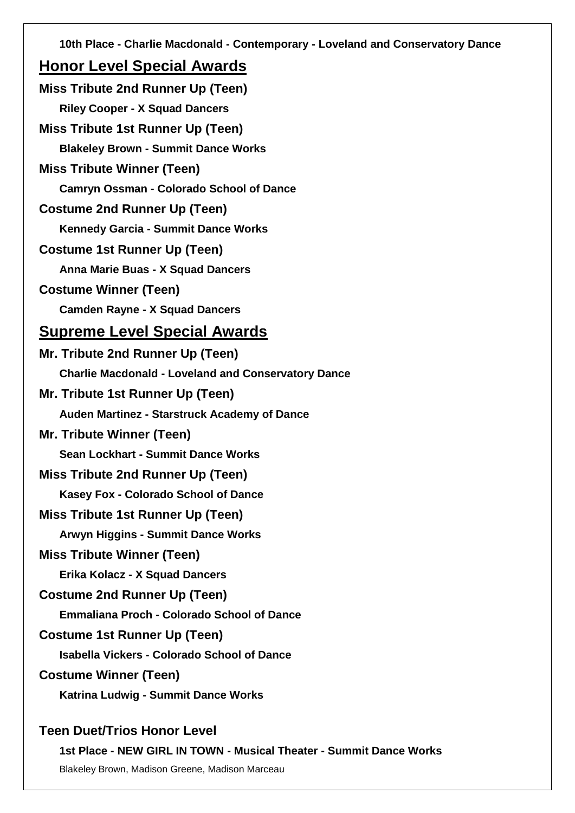**10th Place - Charlie Macdonald - Contemporary - Loveland and Conservatory Dance**

# **Honor Level Special Awards**

| <b>Miss Tribute 2nd Runner Up (Teen)</b>                   |
|------------------------------------------------------------|
| <b>Riley Cooper - X Squad Dancers</b>                      |
| <b>Miss Tribute 1st Runner Up (Teen)</b>                   |
| <b>Blakeley Brown - Summit Dance Works</b>                 |
| <b>Miss Tribute Winner (Teen)</b>                          |
| <b>Camryn Ossman - Colorado School of Dance</b>            |
| <b>Costume 2nd Runner Up (Teen)</b>                        |
| <b>Kennedy Garcia - Summit Dance Works</b>                 |
| <b>Costume 1st Runner Up (Teen)</b>                        |
| Anna Marie Buas - X Squad Dancers                          |
| <b>Costume Winner (Teen)</b>                               |
| <b>Camden Rayne - X Squad Dancers</b>                      |
| <b>Supreme Level Special Awards</b>                        |
| Mr. Tribute 2nd Runner Up (Teen)                           |
| <b>Charlie Macdonald - Loveland and Conservatory Dance</b> |
| Mr. Tribute 1st Runner Up (Teen)                           |
| Auden Martinez - Starstruck Academy of Dance               |
| <b>Mr. Tribute Winner (Teen)</b>                           |
| <b>Sean Lockhart - Summit Dance Works</b>                  |
| <b>Miss Tribute 2nd Runner Up (Teen)</b>                   |
| <b>Kasey Fox - Colorado School of Dance</b>                |
| Miss Tribute 1st Runner Up (Teen)                          |
| <b>Arwyn Higgins - Summit Dance Works</b>                  |
| <b>Miss Tribute Winner (Teen)</b>                          |
| Erika Kolacz - X Squad Dancers                             |
| <b>Costume 2nd Runner Up (Teen)</b>                        |
| <b>Emmaliana Proch - Colorado School of Dance</b>          |
| <b>Costume 1st Runner Up (Teen)</b>                        |
| <b>Isabella Vickers - Colorado School of Dance</b>         |
| <b>Costume Winner (Teen)</b>                               |
| Katrina Ludwig - Summit Dance Works                        |
| <b>Teen Duet/Trios Honor Level</b>                         |

**1st Place - NEW GIRL IN TOWN - Musical Theater - Summit Dance Works**

Blakeley Brown, Madison Greene, Madison Marceau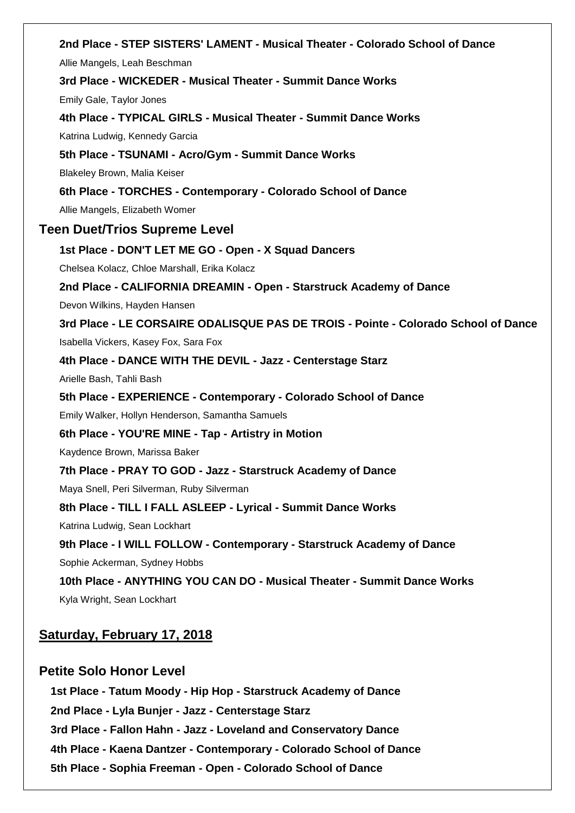**2nd Place - STEP SISTERS' LAMENT - Musical Theater - Colorado School of Dance** Allie Mangels, Leah Beschman **3rd Place - WICKEDER - Musical Theater - Summit Dance Works** Emily Gale, Taylor Jones **4th Place - TYPICAL GIRLS - Musical Theater - Summit Dance Works** Katrina Ludwig, Kennedy Garcia **5th Place - TSUNAMI - Acro/Gym - Summit Dance Works** Blakeley Brown, Malia Keiser **6th Place - TORCHES - Contemporary - Colorado School of Dance** Allie Mangels, Elizabeth Womer **Teen Duet/Trios Supreme Level 1st Place - DON'T LET ME GO - Open - X Squad Dancers** Chelsea Kolacz, Chloe Marshall, Erika Kolacz **2nd Place - CALIFORNIA DREAMIN - Open - Starstruck Academy of Dance** Devon Wilkins, Hayden Hansen **3rd Place - LE CORSAIRE ODALISQUE PAS DE TROIS - Pointe - Colorado School of Dance** Isabella Vickers, Kasey Fox, Sara Fox **4th Place - DANCE WITH THE DEVIL - Jazz - Centerstage Starz** Arielle Bash, Tahli Bash **5th Place - EXPERIENCE - Contemporary - Colorado School of Dance** Emily Walker, Hollyn Henderson, Samantha Samuels **6th Place - YOU'RE MINE - Tap - Artistry in Motion** Kaydence Brown, Marissa Baker **7th Place - PRAY TO GOD - Jazz - Starstruck Academy of Dance** Maya Snell, Peri Silverman, Ruby Silverman **8th Place - TILL I FALL ASLEEP - Lyrical - Summit Dance Works** Katrina Ludwig, Sean Lockhart **9th Place - I WILL FOLLOW - Contemporary - Starstruck Academy of Dance** Sophie Ackerman, Sydney Hobbs **10th Place - ANYTHING YOU CAN DO - Musical Theater - Summit Dance Works** Kyla Wright, Sean Lockhart

**Saturday, February 17, 2018**

# **Petite Solo Honor Level**

**1st Place - Tatum Moody - Hip Hop - Starstruck Academy of Dance 2nd Place - Lyla Bunjer - Jazz - Centerstage Starz 3rd Place - Fallon Hahn - Jazz - Loveland and Conservatory Dance 4th Place - Kaena Dantzer - Contemporary - Colorado School of Dance 5th Place - Sophia Freeman - Open - Colorado School of Dance**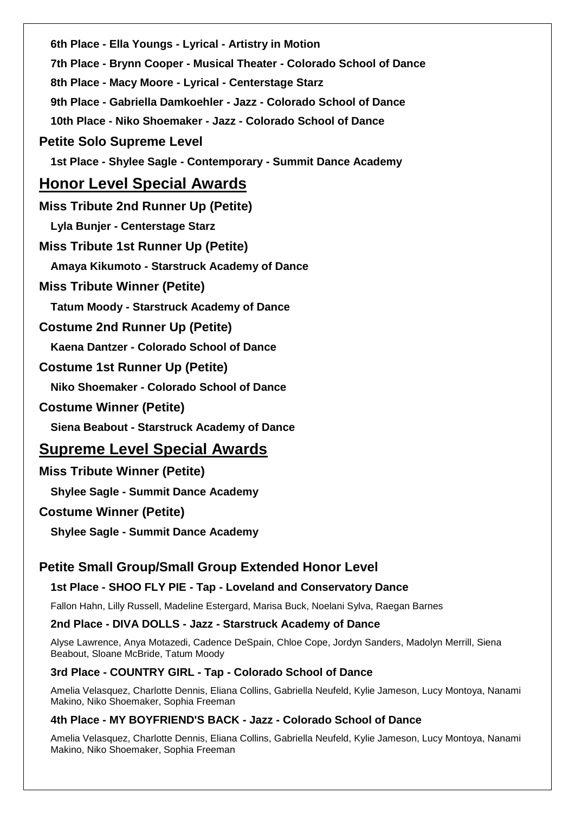**6th Place - Ella Youngs - Lyrical - Artistry in Motion 7th Place - Brynn Cooper - Musical Theater - Colorado School of Dance 8th Place - Macy Moore - Lyrical - Centerstage Starz 9th Place - Gabriella Damkoehler - Jazz - Colorado School of Dance 10th Place - Niko Shoemaker - Jazz - Colorado School of Dance Petite Solo Supreme Level 1st Place - Shylee Sagle - Contemporary - Summit Dance Academy Honor Level Special Awards Miss Tribute 2nd Runner Up (Petite) Lyla Bunjer - Centerstage Starz Miss Tribute 1st Runner Up (Petite) Amaya Kikumoto - Starstruck Academy of Dance Miss Tribute Winner (Petite) Tatum Moody - Starstruck Academy of Dance Costume 2nd Runner Up (Petite) Kaena Dantzer - Colorado School of Dance Costume 1st Runner Up (Petite) Niko Shoemaker - Colorado School of Dance Costume Winner (Petite) Siena Beabout - Starstruck Academy of Dance Supreme Level Special Awards Miss Tribute Winner (Petite) Shylee Sagle - Summit Dance Academy Costume Winner (Petite)**

**Shylee Sagle - Summit Dance Academy**

# **Petite Small Group/Small Group Extended Honor Level**

# **1st Place - SHOO FLY PIE - Tap - Loveland and Conservatory Dance**

Fallon Hahn, Lilly Russell, Madeline Estergard, Marisa Buck, Noelani Sylva, Raegan Barnes

# **2nd Place - DIVA DOLLS - Jazz - Starstruck Academy of Dance**

Alyse Lawrence, Anya Motazedi, Cadence DeSpain, Chloe Cope, Jordyn Sanders, Madolyn Merrill, Siena Beabout, Sloane McBride, Tatum Moody

# **3rd Place - COUNTRY GIRL - Tap - Colorado School of Dance**

Amelia Velasquez, Charlotte Dennis, Eliana Collins, Gabriella Neufeld, Kylie Jameson, Lucy Montoya, Nanami Makino, Niko Shoemaker, Sophia Freeman

# **4th Place - MY BOYFRIEND'S BACK - Jazz - Colorado School of Dance**

Amelia Velasquez, Charlotte Dennis, Eliana Collins, Gabriella Neufeld, Kylie Jameson, Lucy Montoya, Nanami Makino, Niko Shoemaker, Sophia Freeman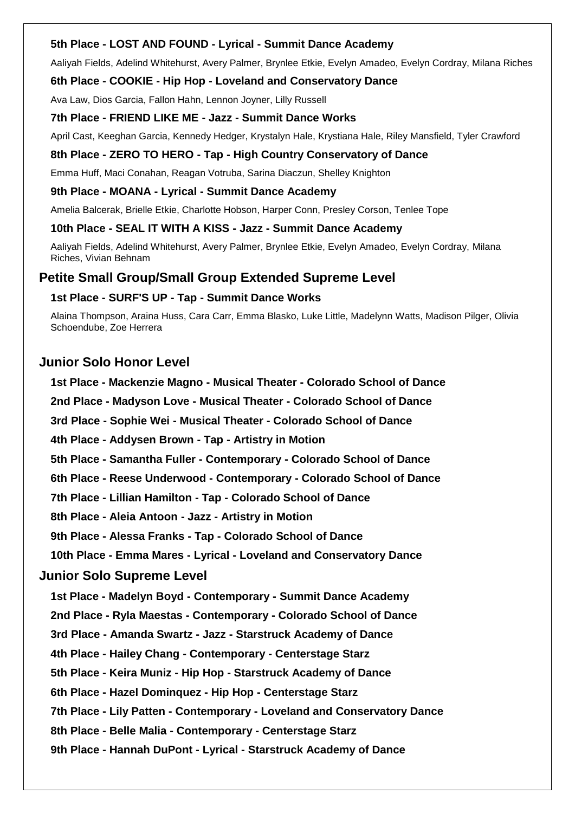# **5th Place - LOST AND FOUND - Lyrical - Summit Dance Academy**

Aaliyah Fields, Adelind Whitehurst, Avery Palmer, Brynlee Etkie, Evelyn Amadeo, Evelyn Cordray, Milana Riches

# **6th Place - COOKIE - Hip Hop - Loveland and Conservatory Dance**

Ava Law, Dios Garcia, Fallon Hahn, Lennon Joyner, Lilly Russell

#### **7th Place - FRIEND LIKE ME - Jazz - Summit Dance Works**

April Cast, Keeghan Garcia, Kennedy Hedger, Krystalyn Hale, Krystiana Hale, Riley Mansfield, Tyler Crawford

# **8th Place - ZERO TO HERO - Tap - High Country Conservatory of Dance**

Emma Huff, Maci Conahan, Reagan Votruba, Sarina Diaczun, Shelley Knighton

# **9th Place - MOANA - Lyrical - Summit Dance Academy**

Amelia Balcerak, Brielle Etkie, Charlotte Hobson, Harper Conn, Presley Corson, Tenlee Tope

# **10th Place - SEAL IT WITH A KISS - Jazz - Summit Dance Academy**

Aaliyah Fields, Adelind Whitehurst, Avery Palmer, Brynlee Etkie, Evelyn Amadeo, Evelyn Cordray, Milana Riches, Vivian Behnam

# **Petite Small Group/Small Group Extended Supreme Level**

# **1st Place - SURF'S UP - Tap - Summit Dance Works**

Alaina Thompson, Araina Huss, Cara Carr, Emma Blasko, Luke Little, Madelynn Watts, Madison Pilger, Olivia Schoendube, Zoe Herrera

# **Junior Solo Honor Level**

**1st Place - Mackenzie Magno - Musical Theater - Colorado School of Dance**

**2nd Place - Madyson Love - Musical Theater - Colorado School of Dance**

**3rd Place - Sophie Wei - Musical Theater - Colorado School of Dance**

**4th Place - Addysen Brown - Tap - Artistry in Motion**

**5th Place - Samantha Fuller - Contemporary - Colorado School of Dance**

**6th Place - Reese Underwood - Contemporary - Colorado School of Dance**

**7th Place - Lillian Hamilton - Tap - Colorado School of Dance**

**8th Place - Aleia Antoon - Jazz - Artistry in Motion**

**9th Place - Alessa Franks - Tap - Colorado School of Dance**

**10th Place - Emma Mares - Lyrical - Loveland and Conservatory Dance**

# **Junior Solo Supreme Level**

**1st Place - Madelyn Boyd - Contemporary - Summit Dance Academy**

**2nd Place - Ryla Maestas - Contemporary - Colorado School of Dance**

**3rd Place - Amanda Swartz - Jazz - Starstruck Academy of Dance**

**4th Place - Hailey Chang - Contemporary - Centerstage Starz**

**5th Place - Keira Muniz - Hip Hop - Starstruck Academy of Dance**

**6th Place - Hazel Dominquez - Hip Hop - Centerstage Starz**

**7th Place - Lily Patten - Contemporary - Loveland and Conservatory Dance**

**8th Place - Belle Malia - Contemporary - Centerstage Starz**

**9th Place - Hannah DuPont - Lyrical - Starstruck Academy of Dance**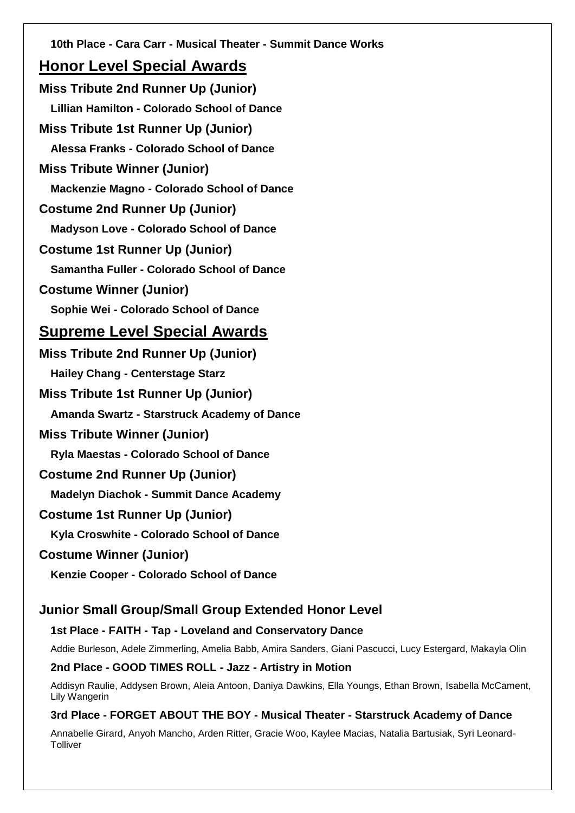**10th Place - Cara Carr - Musical Theater - Summit Dance Works Honor Level Special Awards Miss Tribute 2nd Runner Up (Junior) Lillian Hamilton - Colorado School of Dance Miss Tribute 1st Runner Up (Junior) Alessa Franks - Colorado School of Dance Miss Tribute Winner (Junior) Mackenzie Magno - Colorado School of Dance Costume 2nd Runner Up (Junior) Madyson Love - Colorado School of Dance Costume 1st Runner Up (Junior) Samantha Fuller - Colorado School of Dance Costume Winner (Junior) Sophie Wei - Colorado School of Dance Supreme Level Special Awards Miss Tribute 2nd Runner Up (Junior) Hailey Chang - Centerstage Starz Miss Tribute 1st Runner Up (Junior) Amanda Swartz - Starstruck Academy of Dance Miss Tribute Winner (Junior) Ryla Maestas - Colorado School of Dance Costume 2nd Runner Up (Junior) Madelyn Diachok - Summit Dance Academy Costume 1st Runner Up (Junior) Kyla Croswhite - Colorado School of Dance Costume Winner (Junior) Kenzie Cooper - Colorado School of Dance Junior Small Group/Small Group Extended Honor Level**

# **1st Place - FAITH - Tap - Loveland and Conservatory Dance**

Addie Burleson, Adele Zimmerling, Amelia Babb, Amira Sanders, Giani Pascucci, Lucy Estergard, Makayla Olin

# **2nd Place - GOOD TIMES ROLL - Jazz - Artistry in Motion**

Addisyn Raulie, Addysen Brown, Aleia Antoon, Daniya Dawkins, Ella Youngs, Ethan Brown, Isabella McCament, Lily Wangerin

# **3rd Place - FORGET ABOUT THE BOY - Musical Theater - Starstruck Academy of Dance**

Annabelle Girard, Anyoh Mancho, Arden Ritter, Gracie Woo, Kaylee Macias, Natalia Bartusiak, Syri Leonard-**Tolliver**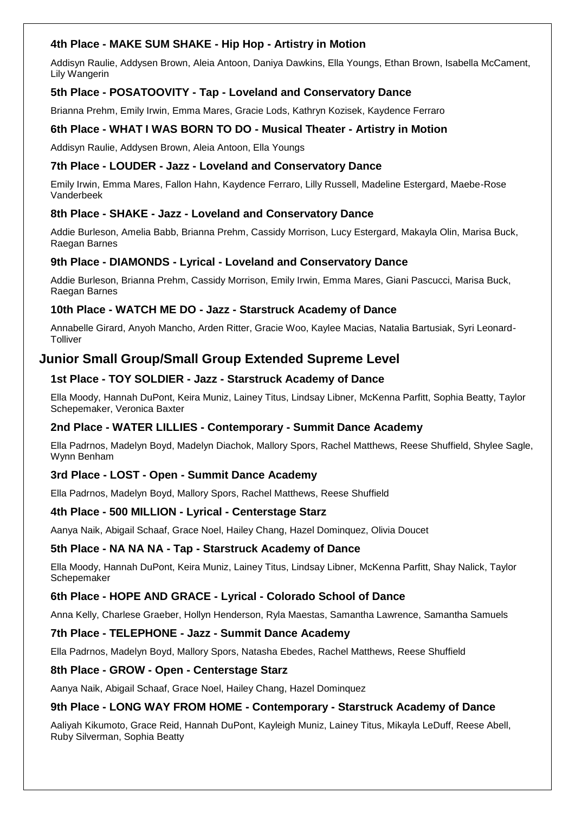# **4th Place - MAKE SUM SHAKE - Hip Hop - Artistry in Motion**

Addisyn Raulie, Addysen Brown, Aleia Antoon, Daniya Dawkins, Ella Youngs, Ethan Brown, Isabella McCament, Lily Wangerin

# **5th Place - POSATOOVITY - Tap - Loveland and Conservatory Dance**

Brianna Prehm, Emily Irwin, Emma Mares, Gracie Lods, Kathryn Kozisek, Kaydence Ferraro

# **6th Place - WHAT I WAS BORN TO DO - Musical Theater - Artistry in Motion**

Addisyn Raulie, Addysen Brown, Aleia Antoon, Ella Youngs

# **7th Place - LOUDER - Jazz - Loveland and Conservatory Dance**

Emily Irwin, Emma Mares, Fallon Hahn, Kaydence Ferraro, Lilly Russell, Madeline Estergard, Maebe-Rose Vanderbeek

# **8th Place - SHAKE - Jazz - Loveland and Conservatory Dance**

Addie Burleson, Amelia Babb, Brianna Prehm, Cassidy Morrison, Lucy Estergard, Makayla Olin, Marisa Buck, Raegan Barnes

# **9th Place - DIAMONDS - Lyrical - Loveland and Conservatory Dance**

Addie Burleson, Brianna Prehm, Cassidy Morrison, Emily Irwin, Emma Mares, Giani Pascucci, Marisa Buck, Raegan Barnes

# **10th Place - WATCH ME DO - Jazz - Starstruck Academy of Dance**

Annabelle Girard, Anyoh Mancho, Arden Ritter, Gracie Woo, Kaylee Macias, Natalia Bartusiak, Syri Leonard-**Tolliver** 

# **Junior Small Group/Small Group Extended Supreme Level**

# **1st Place - TOY SOLDIER - Jazz - Starstruck Academy of Dance**

Ella Moody, Hannah DuPont, Keira Muniz, Lainey Titus, Lindsay Libner, McKenna Parfitt, Sophia Beatty, Taylor Schepemaker, Veronica Baxter

# **2nd Place - WATER LILLIES - Contemporary - Summit Dance Academy**

Ella Padrnos, Madelyn Boyd, Madelyn Diachok, Mallory Spors, Rachel Matthews, Reese Shuffield, Shylee Sagle, Wynn Benham

# **3rd Place - LOST - Open - Summit Dance Academy**

Ella Padrnos, Madelyn Boyd, Mallory Spors, Rachel Matthews, Reese Shuffield

# **4th Place - 500 MILLION - Lyrical - Centerstage Starz**

Aanya Naik, Abigail Schaaf, Grace Noel, Hailey Chang, Hazel Dominquez, Olivia Doucet

#### **5th Place - NA NA NA - Tap - Starstruck Academy of Dance**

Ella Moody, Hannah DuPont, Keira Muniz, Lainey Titus, Lindsay Libner, McKenna Parfitt, Shay Nalick, Taylor Schepemaker

#### **6th Place - HOPE AND GRACE - Lyrical - Colorado School of Dance**

Anna Kelly, Charlese Graeber, Hollyn Henderson, Ryla Maestas, Samantha Lawrence, Samantha Samuels

#### **7th Place - TELEPHONE - Jazz - Summit Dance Academy**

Ella Padrnos, Madelyn Boyd, Mallory Spors, Natasha Ebedes, Rachel Matthews, Reese Shuffield

#### **8th Place - GROW - Open - Centerstage Starz**

Aanya Naik, Abigail Schaaf, Grace Noel, Hailey Chang, Hazel Dominquez

# **9th Place - LONG WAY FROM HOME - Contemporary - Starstruck Academy of Dance**

Aaliyah Kikumoto, Grace Reid, Hannah DuPont, Kayleigh Muniz, Lainey Titus, Mikayla LeDuff, Reese Abell, Ruby Silverman, Sophia Beatty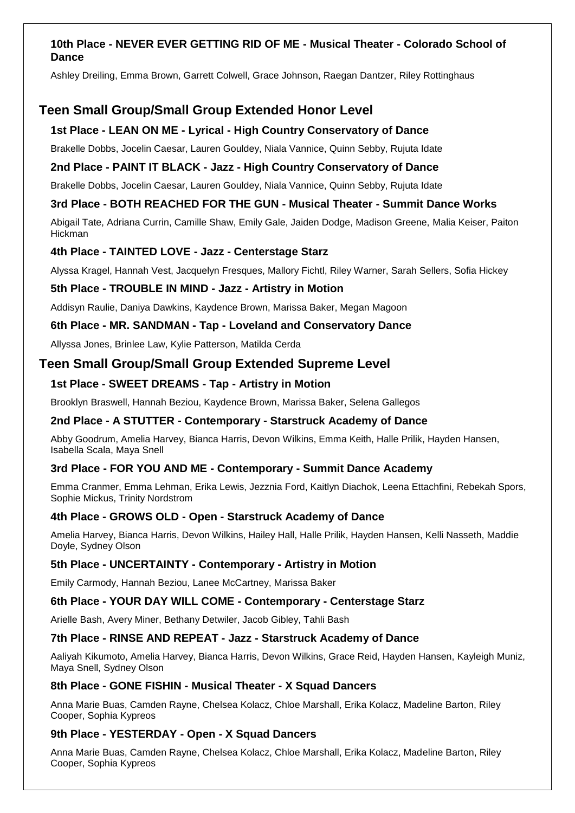# **10th Place - NEVER EVER GETTING RID OF ME - Musical Theater - Colorado School of Dance**

Ashley Dreiling, Emma Brown, Garrett Colwell, Grace Johnson, Raegan Dantzer, Riley Rottinghaus

# **Teen Small Group/Small Group Extended Honor Level**

# **1st Place - LEAN ON ME - Lyrical - High Country Conservatory of Dance**

Brakelle Dobbs, Jocelin Caesar, Lauren Gouldey, Niala Vannice, Quinn Sebby, Rujuta Idate

# **2nd Place - PAINT IT BLACK - Jazz - High Country Conservatory of Dance**

Brakelle Dobbs, Jocelin Caesar, Lauren Gouldey, Niala Vannice, Quinn Sebby, Rujuta Idate

# **3rd Place - BOTH REACHED FOR THE GUN - Musical Theater - Summit Dance Works**

Abigail Tate, Adriana Currin, Camille Shaw, Emily Gale, Jaiden Dodge, Madison Greene, Malia Keiser, Paiton Hickman

# **4th Place - TAINTED LOVE - Jazz - Centerstage Starz**

Alyssa Kragel, Hannah Vest, Jacquelyn Fresques, Mallory Fichtl, Riley Warner, Sarah Sellers, Sofia Hickey

# **5th Place - TROUBLE IN MIND - Jazz - Artistry in Motion**

Addisyn Raulie, Daniya Dawkins, Kaydence Brown, Marissa Baker, Megan Magoon

# **6th Place - MR. SANDMAN - Tap - Loveland and Conservatory Dance**

Allyssa Jones, Brinlee Law, Kylie Patterson, Matilda Cerda

# **Teen Small Group/Small Group Extended Supreme Level**

# **1st Place - SWEET DREAMS - Tap - Artistry in Motion**

Brooklyn Braswell, Hannah Beziou, Kaydence Brown, Marissa Baker, Selena Gallegos

#### **2nd Place - A STUTTER - Contemporary - Starstruck Academy of Dance**

Abby Goodrum, Amelia Harvey, Bianca Harris, Devon Wilkins, Emma Keith, Halle Prilik, Hayden Hansen, Isabella Scala, Maya Snell

# **3rd Place - FOR YOU AND ME - Contemporary - Summit Dance Academy**

Emma Cranmer, Emma Lehman, Erika Lewis, Jezznia Ford, Kaitlyn Diachok, Leena Ettachfini, Rebekah Spors, Sophie Mickus, Trinity Nordstrom

#### **4th Place - GROWS OLD - Open - Starstruck Academy of Dance**

Amelia Harvey, Bianca Harris, Devon Wilkins, Hailey Hall, Halle Prilik, Hayden Hansen, Kelli Nasseth, Maddie Doyle, Sydney Olson

#### **5th Place - UNCERTAINTY - Contemporary - Artistry in Motion**

Emily Carmody, Hannah Beziou, Lanee McCartney, Marissa Baker

#### **6th Place - YOUR DAY WILL COME - Contemporary - Centerstage Starz**

Arielle Bash, Avery Miner, Bethany Detwiler, Jacob Gibley, Tahli Bash

#### **7th Place - RINSE AND REPEAT - Jazz - Starstruck Academy of Dance**

Aaliyah Kikumoto, Amelia Harvey, Bianca Harris, Devon Wilkins, Grace Reid, Hayden Hansen, Kayleigh Muniz, Maya Snell, Sydney Olson

#### **8th Place - GONE FISHIN - Musical Theater - X Squad Dancers**

Anna Marie Buas, Camden Rayne, Chelsea Kolacz, Chloe Marshall, Erika Kolacz, Madeline Barton, Riley Cooper, Sophia Kypreos

# **9th Place - YESTERDAY - Open - X Squad Dancers**

Anna Marie Buas, Camden Rayne, Chelsea Kolacz, Chloe Marshall, Erika Kolacz, Madeline Barton, Riley Cooper, Sophia Kypreos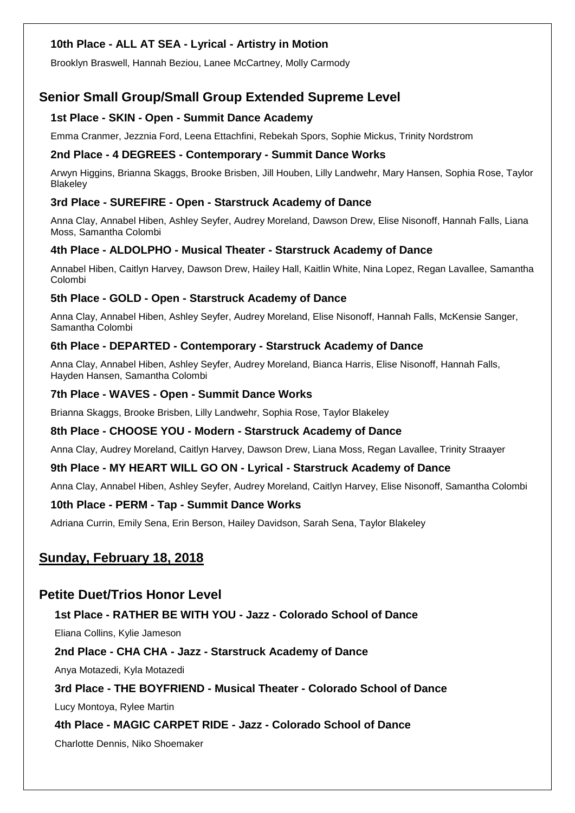# **10th Place - ALL AT SEA - Lyrical - Artistry in Motion**

Brooklyn Braswell, Hannah Beziou, Lanee McCartney, Molly Carmody

# **Senior Small Group/Small Group Extended Supreme Level**

# **1st Place - SKIN - Open - Summit Dance Academy**

Emma Cranmer, Jezznia Ford, Leena Ettachfini, Rebekah Spors, Sophie Mickus, Trinity Nordstrom

# **2nd Place - 4 DEGREES - Contemporary - Summit Dance Works**

Arwyn Higgins, Brianna Skaggs, Brooke Brisben, Jill Houben, Lilly Landwehr, Mary Hansen, Sophia Rose, Taylor Blakeley

# **3rd Place - SUREFIRE - Open - Starstruck Academy of Dance**

Anna Clay, Annabel Hiben, Ashley Seyfer, Audrey Moreland, Dawson Drew, Elise Nisonoff, Hannah Falls, Liana Moss, Samantha Colombi

# **4th Place - ALDOLPHO - Musical Theater - Starstruck Academy of Dance**

Annabel Hiben, Caitlyn Harvey, Dawson Drew, Hailey Hall, Kaitlin White, Nina Lopez, Regan Lavallee, Samantha Colombi

# **5th Place - GOLD - Open - Starstruck Academy of Dance**

Anna Clay, Annabel Hiben, Ashley Seyfer, Audrey Moreland, Elise Nisonoff, Hannah Falls, McKensie Sanger, Samantha Colombi

# **6th Place - DEPARTED - Contemporary - Starstruck Academy of Dance**

Anna Clay, Annabel Hiben, Ashley Seyfer, Audrey Moreland, Bianca Harris, Elise Nisonoff, Hannah Falls, Hayden Hansen, Samantha Colombi

# **7th Place - WAVES - Open - Summit Dance Works**

Brianna Skaggs, Brooke Brisben, Lilly Landwehr, Sophia Rose, Taylor Blakeley

# **8th Place - CHOOSE YOU - Modern - Starstruck Academy of Dance**

Anna Clay, Audrey Moreland, Caitlyn Harvey, Dawson Drew, Liana Moss, Regan Lavallee, Trinity Straayer

# **9th Place - MY HEART WILL GO ON - Lyrical - Starstruck Academy of Dance**

Anna Clay, Annabel Hiben, Ashley Seyfer, Audrey Moreland, Caitlyn Harvey, Elise Nisonoff, Samantha Colombi

# **10th Place - PERM - Tap - Summit Dance Works**

Adriana Currin, Emily Sena, Erin Berson, Hailey Davidson, Sarah Sena, Taylor Blakeley

# **Sunday, February 18, 2018**

# **Petite Duet/Trios Honor Level**

# **1st Place - RATHER BE WITH YOU - Jazz - Colorado School of Dance**

Eliana Collins, Kylie Jameson

# **2nd Place - CHA CHA - Jazz - Starstruck Academy of Dance**

Anya Motazedi, Kyla Motazedi

# **3rd Place - THE BOYFRIEND - Musical Theater - Colorado School of Dance**

Lucy Montoya, Rylee Martin

# **4th Place - MAGIC CARPET RIDE - Jazz - Colorado School of Dance**

Charlotte Dennis, Niko Shoemaker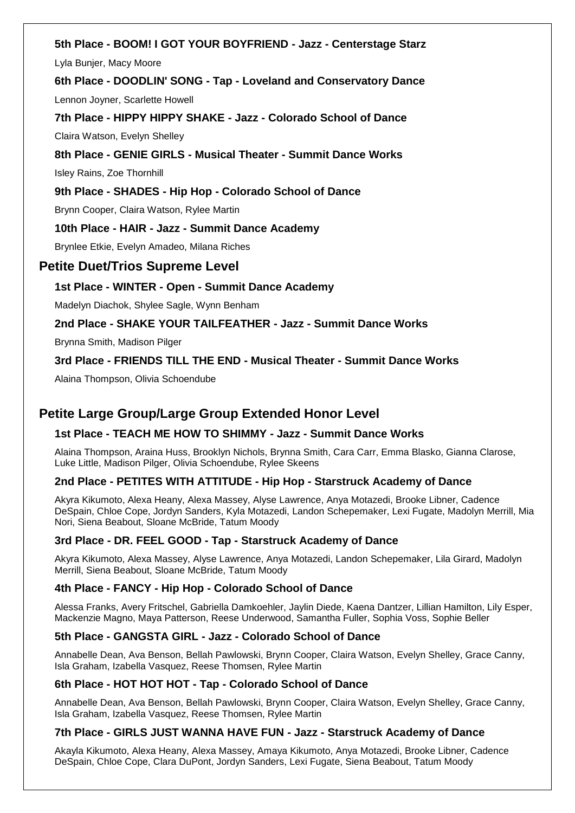# **5th Place - BOOM! I GOT YOUR BOYFRIEND - Jazz - Centerstage Starz**

Lyla Bunjer, Macy Moore

# **6th Place - DOODLIN' SONG - Tap - Loveland and Conservatory Dance**

Lennon Joyner, Scarlette Howell

# **7th Place - HIPPY HIPPY SHAKE - Jazz - Colorado School of Dance**

Claira Watson, Evelyn Shelley

# **8th Place - GENIE GIRLS - Musical Theater - Summit Dance Works**

Isley Rains, Zoe Thornhill

# **9th Place - SHADES - Hip Hop - Colorado School of Dance**

Brynn Cooper, Claira Watson, Rylee Martin

# **10th Place - HAIR - Jazz - Summit Dance Academy**

Brynlee Etkie, Evelyn Amadeo, Milana Riches

# **Petite Duet/Trios Supreme Level**

# **1st Place - WINTER - Open - Summit Dance Academy**

Madelyn Diachok, Shylee Sagle, Wynn Benham

# **2nd Place - SHAKE YOUR TAILFEATHER - Jazz - Summit Dance Works**

Brynna Smith, Madison Pilger

# **3rd Place - FRIENDS TILL THE END - Musical Theater - Summit Dance Works**

Alaina Thompson, Olivia Schoendube

# **Petite Large Group/Large Group Extended Honor Level**

# **1st Place - TEACH ME HOW TO SHIMMY - Jazz - Summit Dance Works**

Alaina Thompson, Araina Huss, Brooklyn Nichols, Brynna Smith, Cara Carr, Emma Blasko, Gianna Clarose, Luke Little, Madison Pilger, Olivia Schoendube, Rylee Skeens

# **2nd Place - PETITES WITH ATTITUDE - Hip Hop - Starstruck Academy of Dance**

Akyra Kikumoto, Alexa Heany, Alexa Massey, Alyse Lawrence, Anya Motazedi, Brooke Libner, Cadence DeSpain, Chloe Cope, Jordyn Sanders, Kyla Motazedi, Landon Schepemaker, Lexi Fugate, Madolyn Merrill, Mia Nori, Siena Beabout, Sloane McBride, Tatum Moody

#### **3rd Place - DR. FEEL GOOD - Tap - Starstruck Academy of Dance**

Akyra Kikumoto, Alexa Massey, Alyse Lawrence, Anya Motazedi, Landon Schepemaker, Lila Girard, Madolyn Merrill, Siena Beabout, Sloane McBride, Tatum Moody

#### **4th Place - FANCY - Hip Hop - Colorado School of Dance**

Alessa Franks, Avery Fritschel, Gabriella Damkoehler, Jaylin Diede, Kaena Dantzer, Lillian Hamilton, Lily Esper, Mackenzie Magno, Maya Patterson, Reese Underwood, Samantha Fuller, Sophia Voss, Sophie Beller

# **5th Place - GANGSTA GIRL - Jazz - Colorado School of Dance**

Annabelle Dean, Ava Benson, Bellah Pawlowski, Brynn Cooper, Claira Watson, Evelyn Shelley, Grace Canny, Isla Graham, Izabella Vasquez, Reese Thomsen, Rylee Martin

#### **6th Place - HOT HOT HOT - Tap - Colorado School of Dance**

Annabelle Dean, Ava Benson, Bellah Pawlowski, Brynn Cooper, Claira Watson, Evelyn Shelley, Grace Canny, Isla Graham, Izabella Vasquez, Reese Thomsen, Rylee Martin

#### **7th Place - GIRLS JUST WANNA HAVE FUN - Jazz - Starstruck Academy of Dance**

Akayla Kikumoto, Alexa Heany, Alexa Massey, Amaya Kikumoto, Anya Motazedi, Brooke Libner, Cadence DeSpain, Chloe Cope, Clara DuPont, Jordyn Sanders, Lexi Fugate, Siena Beabout, Tatum Moody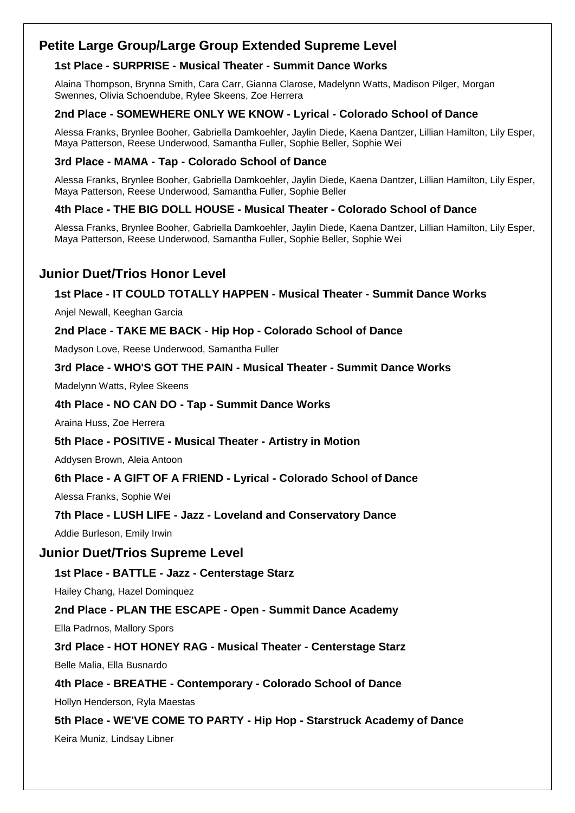# **Petite Large Group/Large Group Extended Supreme Level**

# **1st Place - SURPRISE - Musical Theater - Summit Dance Works**

Alaina Thompson, Brynna Smith, Cara Carr, Gianna Clarose, Madelynn Watts, Madison Pilger, Morgan Swennes, Olivia Schoendube, Rylee Skeens, Zoe Herrera

# **2nd Place - SOMEWHERE ONLY WE KNOW - Lyrical - Colorado School of Dance**

Alessa Franks, Brynlee Booher, Gabriella Damkoehler, Jaylin Diede, Kaena Dantzer, Lillian Hamilton, Lily Esper, Maya Patterson, Reese Underwood, Samantha Fuller, Sophie Beller, Sophie Wei

# **3rd Place - MAMA - Tap - Colorado School of Dance**

Alessa Franks, Brynlee Booher, Gabriella Damkoehler, Jaylin Diede, Kaena Dantzer, Lillian Hamilton, Lily Esper, Maya Patterson, Reese Underwood, Samantha Fuller, Sophie Beller

# **4th Place - THE BIG DOLL HOUSE - Musical Theater - Colorado School of Dance**

Alessa Franks, Brynlee Booher, Gabriella Damkoehler, Jaylin Diede, Kaena Dantzer, Lillian Hamilton, Lily Esper, Maya Patterson, Reese Underwood, Samantha Fuller, Sophie Beller, Sophie Wei

# **Junior Duet/Trios Honor Level**

# **1st Place - IT COULD TOTALLY HAPPEN - Musical Theater - Summit Dance Works**

Anjel Newall, Keeghan Garcia

# **2nd Place - TAKE ME BACK - Hip Hop - Colorado School of Dance**

Madyson Love, Reese Underwood, Samantha Fuller

# **3rd Place - WHO'S GOT THE PAIN - Musical Theater - Summit Dance Works**

Madelynn Watts, Rylee Skeens

# **4th Place - NO CAN DO - Tap - Summit Dance Works**

Araina Huss, Zoe Herrera

# **5th Place - POSITIVE - Musical Theater - Artistry in Motion**

Addysen Brown, Aleia Antoon

# **6th Place - A GIFT OF A FRIEND - Lyrical - Colorado School of Dance**

Alessa Franks, Sophie Wei

# **7th Place - LUSH LIFE - Jazz - Loveland and Conservatory Dance**

Addie Burleson, Emily Irwin

# **Junior Duet/Trios Supreme Level**

# **1st Place - BATTLE - Jazz - Centerstage Starz**

Hailey Chang, Hazel Dominquez

# **2nd Place - PLAN THE ESCAPE - Open - Summit Dance Academy**

Ella Padrnos, Mallory Spors

# **3rd Place - HOT HONEY RAG - Musical Theater - Centerstage Starz**

Belle Malia, Ella Busnardo

# **4th Place - BREATHE - Contemporary - Colorado School of Dance**

Hollyn Henderson, Ryla Maestas

# **5th Place - WE'VE COME TO PARTY - Hip Hop - Starstruck Academy of Dance** Keira Muniz, Lindsay Libner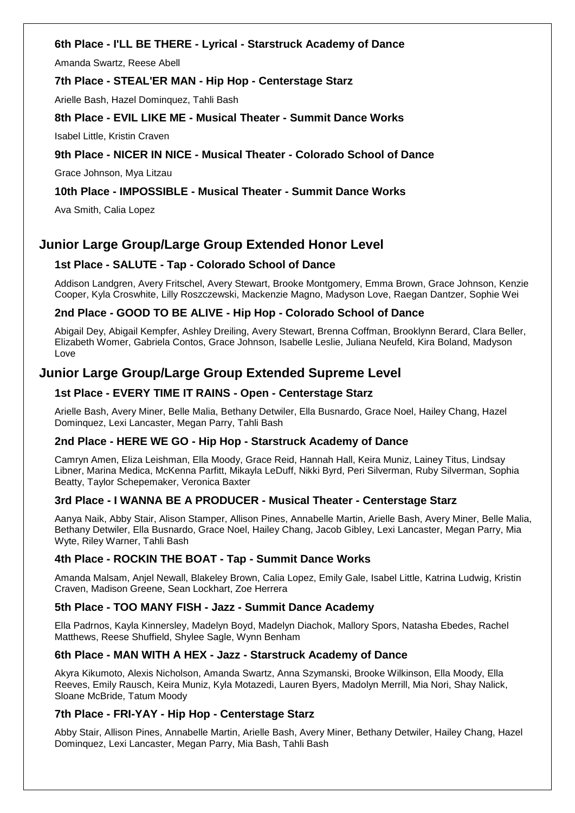# **6th Place - I'LL BE THERE - Lyrical - Starstruck Academy of Dance**

Amanda Swartz, Reese Abell

# **7th Place - STEAL'ER MAN - Hip Hop - Centerstage Starz**

Arielle Bash, Hazel Dominquez, Tahli Bash

# **8th Place - EVIL LIKE ME - Musical Theater - Summit Dance Works**

Isabel Little, Kristin Craven

# **9th Place - NICER IN NICE - Musical Theater - Colorado School of Dance**

Grace Johnson, Mya Litzau

# **10th Place - IMPOSSIBLE - Musical Theater - Summit Dance Works**

Ava Smith, Calia Lopez

# **Junior Large Group/Large Group Extended Honor Level**

# **1st Place - SALUTE - Tap - Colorado School of Dance**

Addison Landgren, Avery Fritschel, Avery Stewart, Brooke Montgomery, Emma Brown, Grace Johnson, Kenzie Cooper, Kyla Croswhite, Lilly Roszczewski, Mackenzie Magno, Madyson Love, Raegan Dantzer, Sophie Wei

# **2nd Place - GOOD TO BE ALIVE - Hip Hop - Colorado School of Dance**

Abigail Dey, Abigail Kempfer, Ashley Dreiling, Avery Stewart, Brenna Coffman, Brooklynn Berard, Clara Beller, Elizabeth Womer, Gabriela Contos, Grace Johnson, Isabelle Leslie, Juliana Neufeld, Kira Boland, Madyson Love

# **Junior Large Group/Large Group Extended Supreme Level**

# **1st Place - EVERY TIME IT RAINS - Open - Centerstage Starz**

Arielle Bash, Avery Miner, Belle Malia, Bethany Detwiler, Ella Busnardo, Grace Noel, Hailey Chang, Hazel Dominquez, Lexi Lancaster, Megan Parry, Tahli Bash

# **2nd Place - HERE WE GO - Hip Hop - Starstruck Academy of Dance**

Camryn Amen, Eliza Leishman, Ella Moody, Grace Reid, Hannah Hall, Keira Muniz, Lainey Titus, Lindsay Libner, Marina Medica, McKenna Parfitt, Mikayla LeDuff, Nikki Byrd, Peri Silverman, Ruby Silverman, Sophia Beatty, Taylor Schepemaker, Veronica Baxter

# **3rd Place - I WANNA BE A PRODUCER - Musical Theater - Centerstage Starz**

Aanya Naik, Abby Stair, Alison Stamper, Allison Pines, Annabelle Martin, Arielle Bash, Avery Miner, Belle Malia, Bethany Detwiler, Ella Busnardo, Grace Noel, Hailey Chang, Jacob Gibley, Lexi Lancaster, Megan Parry, Mia Wyte, Riley Warner, Tahli Bash

# **4th Place - ROCKIN THE BOAT - Tap - Summit Dance Works**

Amanda Malsam, Anjel Newall, Blakeley Brown, Calia Lopez, Emily Gale, Isabel Little, Katrina Ludwig, Kristin Craven, Madison Greene, Sean Lockhart, Zoe Herrera

# **5th Place - TOO MANY FISH - Jazz - Summit Dance Academy**

Ella Padrnos, Kayla Kinnersley, Madelyn Boyd, Madelyn Diachok, Mallory Spors, Natasha Ebedes, Rachel Matthews, Reese Shuffield, Shylee Sagle, Wynn Benham

# **6th Place - MAN WITH A HEX - Jazz - Starstruck Academy of Dance**

Akyra Kikumoto, Alexis Nicholson, Amanda Swartz, Anna Szymanski, Brooke Wilkinson, Ella Moody, Ella Reeves, Emily Rausch, Keira Muniz, Kyla Motazedi, Lauren Byers, Madolyn Merrill, Mia Nori, Shay Nalick, Sloane McBride, Tatum Moody

# **7th Place - FRI-YAY - Hip Hop - Centerstage Starz**

Abby Stair, Allison Pines, Annabelle Martin, Arielle Bash, Avery Miner, Bethany Detwiler, Hailey Chang, Hazel Dominquez, Lexi Lancaster, Megan Parry, Mia Bash, Tahli Bash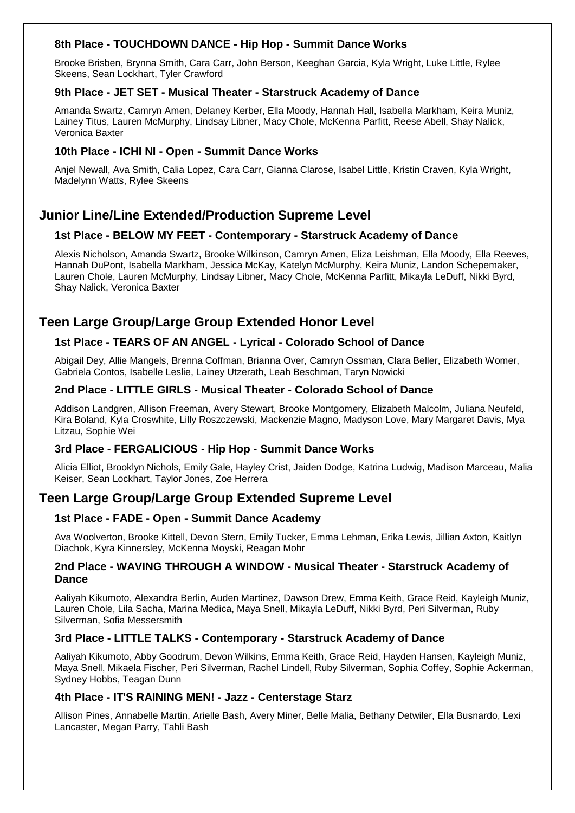# **8th Place - TOUCHDOWN DANCE - Hip Hop - Summit Dance Works**

Brooke Brisben, Brynna Smith, Cara Carr, John Berson, Keeghan Garcia, Kyla Wright, Luke Little, Rylee Skeens, Sean Lockhart, Tyler Crawford

# **9th Place - JET SET - Musical Theater - Starstruck Academy of Dance**

Amanda Swartz, Camryn Amen, Delaney Kerber, Ella Moody, Hannah Hall, Isabella Markham, Keira Muniz, Lainey Titus, Lauren McMurphy, Lindsay Libner, Macy Chole, McKenna Parfitt, Reese Abell, Shay Nalick, Veronica Baxter

# **10th Place - ICHI NI - Open - Summit Dance Works**

Anjel Newall, Ava Smith, Calia Lopez, Cara Carr, Gianna Clarose, Isabel Little, Kristin Craven, Kyla Wright, Madelynn Watts, Rylee Skeens

# **Junior Line/Line Extended/Production Supreme Level**

# **1st Place - BELOW MY FEET - Contemporary - Starstruck Academy of Dance**

Alexis Nicholson, Amanda Swartz, Brooke Wilkinson, Camryn Amen, Eliza Leishman, Ella Moody, Ella Reeves, Hannah DuPont, Isabella Markham, Jessica McKay, Katelyn McMurphy, Keira Muniz, Landon Schepemaker, Lauren Chole, Lauren McMurphy, Lindsay Libner, Macy Chole, McKenna Parfitt, Mikayla LeDuff, Nikki Byrd, Shay Nalick, Veronica Baxter

# **Teen Large Group/Large Group Extended Honor Level**

# **1st Place - TEARS OF AN ANGEL - Lyrical - Colorado School of Dance**

Abigail Dey, Allie Mangels, Brenna Coffman, Brianna Over, Camryn Ossman, Clara Beller, Elizabeth Womer, Gabriela Contos, Isabelle Leslie, Lainey Utzerath, Leah Beschman, Taryn Nowicki

# **2nd Place - LITTLE GIRLS - Musical Theater - Colorado School of Dance**

Addison Landgren, Allison Freeman, Avery Stewart, Brooke Montgomery, Elizabeth Malcolm, Juliana Neufeld, Kira Boland, Kyla Croswhite, Lilly Roszczewski, Mackenzie Magno, Madyson Love, Mary Margaret Davis, Mya Litzau, Sophie Wei

# **3rd Place - FERGALICIOUS - Hip Hop - Summit Dance Works**

Alicia Elliot, Brooklyn Nichols, Emily Gale, Hayley Crist, Jaiden Dodge, Katrina Ludwig, Madison Marceau, Malia Keiser, Sean Lockhart, Taylor Jones, Zoe Herrera

# **Teen Large Group/Large Group Extended Supreme Level**

# **1st Place - FADE - Open - Summit Dance Academy**

Ava Woolverton, Brooke Kittell, Devon Stern, Emily Tucker, Emma Lehman, Erika Lewis, Jillian Axton, Kaitlyn Diachok, Kyra Kinnersley, McKenna Moyski, Reagan Mohr

# **2nd Place - WAVING THROUGH A WINDOW - Musical Theater - Starstruck Academy of Dance**

Aaliyah Kikumoto, Alexandra Berlin, Auden Martinez, Dawson Drew, Emma Keith, Grace Reid, Kayleigh Muniz, Lauren Chole, Lila Sacha, Marina Medica, Maya Snell, Mikayla LeDuff, Nikki Byrd, Peri Silverman, Ruby Silverman, Sofia Messersmith

# **3rd Place - LITTLE TALKS - Contemporary - Starstruck Academy of Dance**

Aaliyah Kikumoto, Abby Goodrum, Devon Wilkins, Emma Keith, Grace Reid, Hayden Hansen, Kayleigh Muniz, Maya Snell, Mikaela Fischer, Peri Silverman, Rachel Lindell, Ruby Silverman, Sophia Coffey, Sophie Ackerman, Sydney Hobbs, Teagan Dunn

# **4th Place - IT'S RAINING MEN! - Jazz - Centerstage Starz**

Allison Pines, Annabelle Martin, Arielle Bash, Avery Miner, Belle Malia, Bethany Detwiler, Ella Busnardo, Lexi Lancaster, Megan Parry, Tahli Bash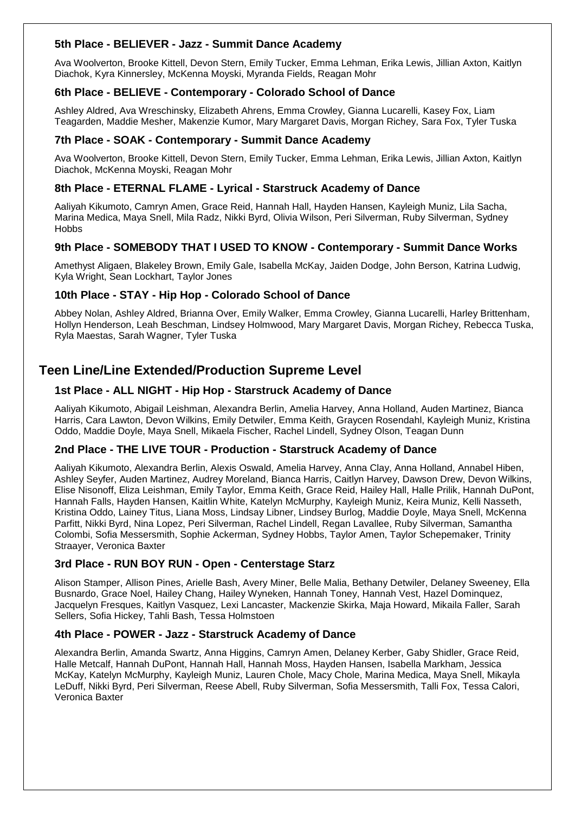# **5th Place - BELIEVER - Jazz - Summit Dance Academy**

Ava Woolverton, Brooke Kittell, Devon Stern, Emily Tucker, Emma Lehman, Erika Lewis, Jillian Axton, Kaitlyn Diachok, Kyra Kinnersley, McKenna Moyski, Myranda Fields, Reagan Mohr

# **6th Place - BELIEVE - Contemporary - Colorado School of Dance**

Ashley Aldred, Ava Wreschinsky, Elizabeth Ahrens, Emma Crowley, Gianna Lucarelli, Kasey Fox, Liam Teagarden, Maddie Mesher, Makenzie Kumor, Mary Margaret Davis, Morgan Richey, Sara Fox, Tyler Tuska

# **7th Place - SOAK - Contemporary - Summit Dance Academy**

Ava Woolverton, Brooke Kittell, Devon Stern, Emily Tucker, Emma Lehman, Erika Lewis, Jillian Axton, Kaitlyn Diachok, McKenna Moyski, Reagan Mohr

# **8th Place - ETERNAL FLAME - Lyrical - Starstruck Academy of Dance**

Aaliyah Kikumoto, Camryn Amen, Grace Reid, Hannah Hall, Hayden Hansen, Kayleigh Muniz, Lila Sacha, Marina Medica, Maya Snell, Mila Radz, Nikki Byrd, Olivia Wilson, Peri Silverman, Ruby Silverman, Sydney **Hobbs** 

# **9th Place - SOMEBODY THAT I USED TO KNOW - Contemporary - Summit Dance Works**

Amethyst Aligaen, Blakeley Brown, Emily Gale, Isabella McKay, Jaiden Dodge, John Berson, Katrina Ludwig, Kyla Wright, Sean Lockhart, Taylor Jones

# **10th Place - STAY - Hip Hop - Colorado School of Dance**

Abbey Nolan, Ashley Aldred, Brianna Over, Emily Walker, Emma Crowley, Gianna Lucarelli, Harley Brittenham, Hollyn Henderson, Leah Beschman, Lindsey Holmwood, Mary Margaret Davis, Morgan Richey, Rebecca Tuska, Ryla Maestas, Sarah Wagner, Tyler Tuska

# **Teen Line/Line Extended/Production Supreme Level**

# **1st Place - ALL NIGHT - Hip Hop - Starstruck Academy of Dance**

Aaliyah Kikumoto, Abigail Leishman, Alexandra Berlin, Amelia Harvey, Anna Holland, Auden Martinez, Bianca Harris, Cara Lawton, Devon Wilkins, Emily Detwiler, Emma Keith, Graycen Rosendahl, Kayleigh Muniz, Kristina Oddo, Maddie Doyle, Maya Snell, Mikaela Fischer, Rachel Lindell, Sydney Olson, Teagan Dunn

#### **2nd Place - THE LIVE TOUR - Production - Starstruck Academy of Dance**

Aaliyah Kikumoto, Alexandra Berlin, Alexis Oswald, Amelia Harvey, Anna Clay, Anna Holland, Annabel Hiben, Ashley Seyfer, Auden Martinez, Audrey Moreland, Bianca Harris, Caitlyn Harvey, Dawson Drew, Devon Wilkins, Elise Nisonoff, Eliza Leishman, Emily Taylor, Emma Keith, Grace Reid, Hailey Hall, Halle Prilik, Hannah DuPont, Hannah Falls, Hayden Hansen, Kaitlin White, Katelyn McMurphy, Kayleigh Muniz, Keira Muniz, Kelli Nasseth, Kristina Oddo, Lainey Titus, Liana Moss, Lindsay Libner, Lindsey Burlog, Maddie Doyle, Maya Snell, McKenna Parfitt, Nikki Byrd, Nina Lopez, Peri Silverman, Rachel Lindell, Regan Lavallee, Ruby Silverman, Samantha Colombi, Sofia Messersmith, Sophie Ackerman, Sydney Hobbs, Taylor Amen, Taylor Schepemaker, Trinity Straayer, Veronica Baxter

# **3rd Place - RUN BOY RUN - Open - Centerstage Starz**

Alison Stamper, Allison Pines, Arielle Bash, Avery Miner, Belle Malia, Bethany Detwiler, Delaney Sweeney, Ella Busnardo, Grace Noel, Hailey Chang, Hailey Wyneken, Hannah Toney, Hannah Vest, Hazel Dominquez, Jacquelyn Fresques, Kaitlyn Vasquez, Lexi Lancaster, Mackenzie Skirka, Maja Howard, Mikaila Faller, Sarah Sellers, Sofia Hickey, Tahli Bash, Tessa Holmstoen

#### **4th Place - POWER - Jazz - Starstruck Academy of Dance**

Alexandra Berlin, Amanda Swartz, Anna Higgins, Camryn Amen, Delaney Kerber, Gaby Shidler, Grace Reid, Halle Metcalf, Hannah DuPont, Hannah Hall, Hannah Moss, Hayden Hansen, Isabella Markham, Jessica McKay, Katelyn McMurphy, Kayleigh Muniz, Lauren Chole, Macy Chole, Marina Medica, Maya Snell, Mikayla LeDuff, Nikki Byrd, Peri Silverman, Reese Abell, Ruby Silverman, Sofia Messersmith, Talli Fox, Tessa Calori, Veronica Baxter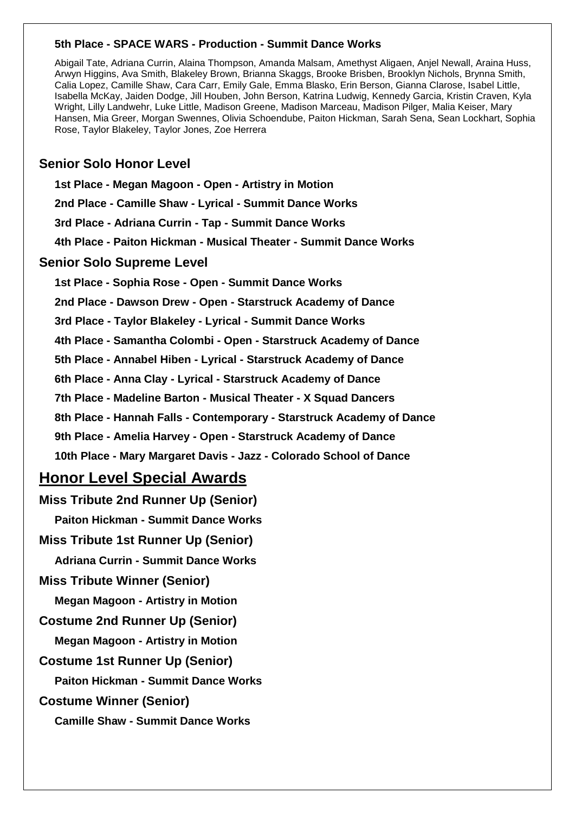# **5th Place - SPACE WARS - Production - Summit Dance Works**

Abigail Tate, Adriana Currin, Alaina Thompson, Amanda Malsam, Amethyst Aligaen, Anjel Newall, Araina Huss, Arwyn Higgins, Ava Smith, Blakeley Brown, Brianna Skaggs, Brooke Brisben, Brooklyn Nichols, Brynna Smith, Calia Lopez, Camille Shaw, Cara Carr, Emily Gale, Emma Blasko, Erin Berson, Gianna Clarose, Isabel Little, Isabella McKay, Jaiden Dodge, Jill Houben, John Berson, Katrina Ludwig, Kennedy Garcia, Kristin Craven, Kyla Wright, Lilly Landwehr, Luke Little, Madison Greene, Madison Marceau, Madison Pilger, Malia Keiser, Mary Hansen, Mia Greer, Morgan Swennes, Olivia Schoendube, Paiton Hickman, Sarah Sena, Sean Lockhart, Sophia Rose, Taylor Blakeley, Taylor Jones, Zoe Herrera

# **Senior Solo Honor Level**

**1st Place - Megan Magoon - Open - Artistry in Motion**

**2nd Place - Camille Shaw - Lyrical - Summit Dance Works**

**3rd Place - Adriana Currin - Tap - Summit Dance Works**

**4th Place - Paiton Hickman - Musical Theater - Summit Dance Works**

# **Senior Solo Supreme Level**

**1st Place - Sophia Rose - Open - Summit Dance Works**

**2nd Place - Dawson Drew - Open - Starstruck Academy of Dance**

**3rd Place - Taylor Blakeley - Lyrical - Summit Dance Works**

**4th Place - Samantha Colombi - Open - Starstruck Academy of Dance**

**5th Place - Annabel Hiben - Lyrical - Starstruck Academy of Dance**

**6th Place - Anna Clay - Lyrical - Starstruck Academy of Dance**

**7th Place - Madeline Barton - Musical Theater - X Squad Dancers**

**8th Place - Hannah Falls - Contemporary - Starstruck Academy of Dance**

**9th Place - Amelia Harvey - Open - Starstruck Academy of Dance**

**10th Place - Mary Margaret Davis - Jazz - Colorado School of Dance**

# **Honor Level Special Awards**

**Miss Tribute 2nd Runner Up (Senior) Paiton Hickman - Summit Dance Works Miss Tribute 1st Runner Up (Senior) Adriana Currin - Summit Dance Works Miss Tribute Winner (Senior) Megan Magoon - Artistry in Motion Costume 2nd Runner Up (Senior) Megan Magoon - Artistry in Motion Costume 1st Runner Up (Senior) Paiton Hickman - Summit Dance Works Costume Winner (Senior) Camille Shaw - Summit Dance Works**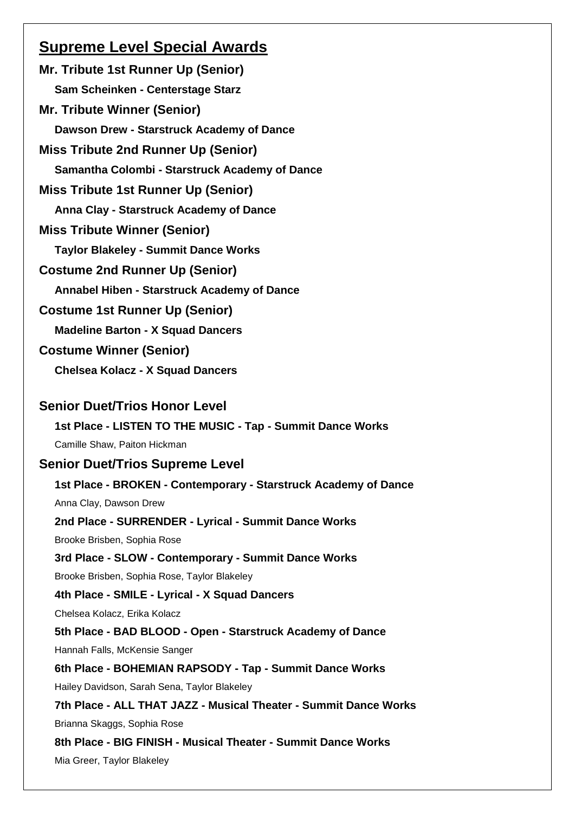# **Supreme Level Special Awards**

**Mr. Tribute 1st Runner Up (Senior) Sam Scheinken - Centerstage Starz Mr. Tribute Winner (Senior) Dawson Drew - Starstruck Academy of Dance Miss Tribute 2nd Runner Up (Senior) Samantha Colombi - Starstruck Academy of Dance Miss Tribute 1st Runner Up (Senior) Anna Clay - Starstruck Academy of Dance Miss Tribute Winner (Senior) Taylor Blakeley - Summit Dance Works Costume 2nd Runner Up (Senior) Annabel Hiben - Starstruck Academy of Dance Costume 1st Runner Up (Senior) Madeline Barton - X Squad Dancers Costume Winner (Senior) Chelsea Kolacz - X Squad Dancers Senior Duet/Trios Honor Level 1st Place - LISTEN TO THE MUSIC - Tap - Summit Dance Works** Camille Shaw, Paiton Hickman **Senior Duet/Trios Supreme Level 1st Place - BROKEN - Contemporary - Starstruck Academy of Dance** Anna Clay, Dawson Drew **2nd Place - SURRENDER - Lyrical - Summit Dance Works** Brooke Brisben, Sophia Rose **3rd Place - SLOW - Contemporary - Summit Dance Works** Brooke Brisben, Sophia Rose, Taylor Blakeley **4th Place - SMILE - Lyrical - X Squad Dancers** Chelsea Kolacz, Erika Kolacz **5th Place - BAD BLOOD - Open - Starstruck Academy of Dance** Hannah Falls, McKensie Sanger **6th Place - BOHEMIAN RAPSODY - Tap - Summit Dance Works** Hailey Davidson, Sarah Sena, Taylor Blakeley **7th Place - ALL THAT JAZZ - Musical Theater - Summit Dance Works** Brianna Skaggs, Sophia Rose **8th Place - BIG FINISH - Musical Theater - Summit Dance Works** Mia Greer, Taylor Blakeley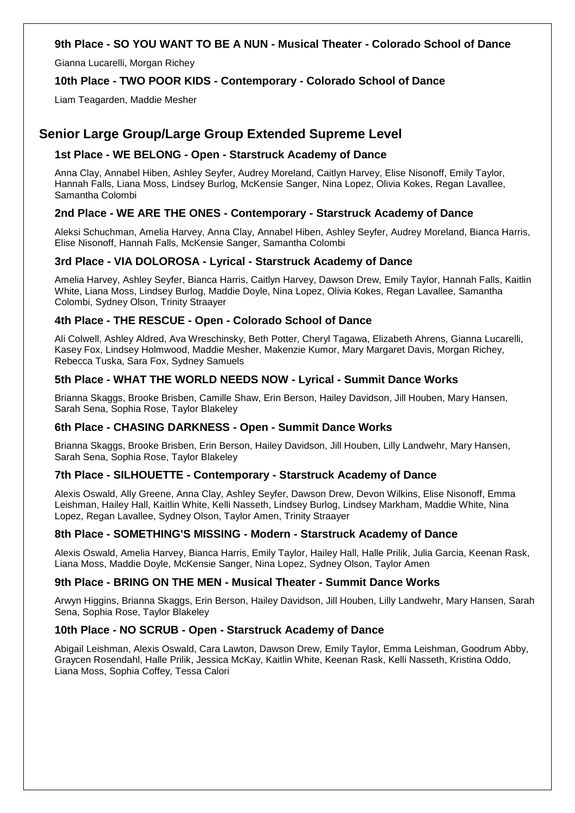# **9th Place - SO YOU WANT TO BE A NUN - Musical Theater - Colorado School of Dance**

Gianna Lucarelli, Morgan Richey

# **10th Place - TWO POOR KIDS - Contemporary - Colorado School of Dance**

Liam Teagarden, Maddie Mesher

# **Senior Large Group/Large Group Extended Supreme Level**

# **1st Place - WE BELONG - Open - Starstruck Academy of Dance**

Anna Clay, Annabel Hiben, Ashley Seyfer, Audrey Moreland, Caitlyn Harvey, Elise Nisonoff, Emily Taylor, Hannah Falls, Liana Moss, Lindsey Burlog, McKensie Sanger, Nina Lopez, Olivia Kokes, Regan Lavallee, Samantha Colombi

# **2nd Place - WE ARE THE ONES - Contemporary - Starstruck Academy of Dance**

Aleksi Schuchman, Amelia Harvey, Anna Clay, Annabel Hiben, Ashley Seyfer, Audrey Moreland, Bianca Harris, Elise Nisonoff, Hannah Falls, McKensie Sanger, Samantha Colombi

# **3rd Place - VIA DOLOROSA - Lyrical - Starstruck Academy of Dance**

Amelia Harvey, Ashley Seyfer, Bianca Harris, Caitlyn Harvey, Dawson Drew, Emily Taylor, Hannah Falls, Kaitlin White, Liana Moss, Lindsey Burlog, Maddie Doyle, Nina Lopez, Olivia Kokes, Regan Lavallee, Samantha Colombi, Sydney Olson, Trinity Straayer

# **4th Place - THE RESCUE - Open - Colorado School of Dance**

Ali Colwell, Ashley Aldred, Ava Wreschinsky, Beth Potter, Cheryl Tagawa, Elizabeth Ahrens, Gianna Lucarelli, Kasey Fox, Lindsey Holmwood, Maddie Mesher, Makenzie Kumor, Mary Margaret Davis, Morgan Richey, Rebecca Tuska, Sara Fox, Sydney Samuels

# **5th Place - WHAT THE WORLD NEEDS NOW - Lyrical - Summit Dance Works**

Brianna Skaggs, Brooke Brisben, Camille Shaw, Erin Berson, Hailey Davidson, Jill Houben, Mary Hansen, Sarah Sena, Sophia Rose, Taylor Blakeley

# **6th Place - CHASING DARKNESS - Open - Summit Dance Works**

Brianna Skaggs, Brooke Brisben, Erin Berson, Hailey Davidson, Jill Houben, Lilly Landwehr, Mary Hansen, Sarah Sena, Sophia Rose, Taylor Blakeley

# **7th Place - SILHOUETTE - Contemporary - Starstruck Academy of Dance**

Alexis Oswald, Ally Greene, Anna Clay, Ashley Seyfer, Dawson Drew, Devon Wilkins, Elise Nisonoff, Emma Leishman, Hailey Hall, Kaitlin White, Kelli Nasseth, Lindsey Burlog, Lindsey Markham, Maddie White, Nina Lopez, Regan Lavallee, Sydney Olson, Taylor Amen, Trinity Straayer

# **8th Place - SOMETHING'S MISSING - Modern - Starstruck Academy of Dance**

Alexis Oswald, Amelia Harvey, Bianca Harris, Emily Taylor, Hailey Hall, Halle Prilik, Julia Garcia, Keenan Rask, Liana Moss, Maddie Doyle, McKensie Sanger, Nina Lopez, Sydney Olson, Taylor Amen

# **9th Place - BRING ON THE MEN - Musical Theater - Summit Dance Works**

Arwyn Higgins, Brianna Skaggs, Erin Berson, Hailey Davidson, Jill Houben, Lilly Landwehr, Mary Hansen, Sarah Sena, Sophia Rose, Taylor Blakeley

# **10th Place - NO SCRUB - Open - Starstruck Academy of Dance**

Abigail Leishman, Alexis Oswald, Cara Lawton, Dawson Drew, Emily Taylor, Emma Leishman, Goodrum Abby, Graycen Rosendahl, Halle Prilik, Jessica McKay, Kaitlin White, Keenan Rask, Kelli Nasseth, Kristina Oddo, Liana Moss, Sophia Coffey, Tessa Calori